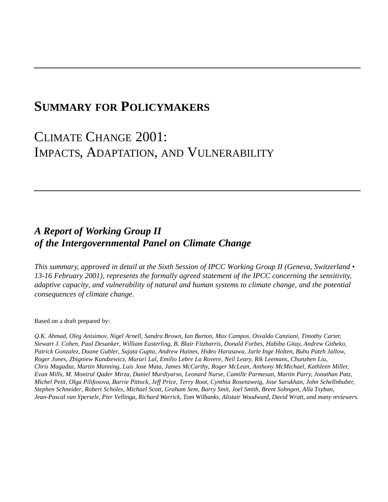# **SUMMARY FOR POLICYMAKERS**

# CLIMATE CHANGE 2001: IMPACTS, ADAPTATION, AND VULNERABILITY

# *A Report of Working Group II of the Intergovernmental Panel on Climate Change*

*This summary, approved in detail at the Sixth Session of IPCC Working Group II (Geneva, Switzerland • 13-16 February 2001), represents the formally agreed statement of the IPCC concerning the sensitivity, adaptive capacity, and vulnerability of natural and human systems to climate change, and the potential consequences of climate change.*

Based on a draft prepared by:

*Q.K. Ahmad, Oleg Anisimov, Nigel Arnell, Sandra Brown, Ian Burton, Max Campos, Osvaldo Canziani, Timothy Carter, Stewart J. Cohen, Paul Desanker, William Easterling, B. Blair Fitzharris, Donald Forbes, Habiba Gitay, Andrew Githeko, Patrick Gonzalez, Duane Gubler, Sujata Gupta, Andrew Haines, Hideo Harasawa, Jarle Inge Holten, Bubu Pateh Jallow, Roger Jones, Zbigniew Kundzewicz, Murari Lal, Emilio Lebre La Rovere, Neil Leary, Rik Leemans, Chunzhen Liu, Chris Magadza, Martin Manning, Luis Jose Mata, James McCarthy, Roger McLean, Anthony McMichael, Kathleen Miller, Evan Mills, M. Monirul Qader Mirza, Daniel Murdiyarso, Leonard Nurse, Camille Parmesan, Martin Parry, Jonathan Patz, Michel Petit, Olga Pilifosova, Barrie Pittock, Jeff Price, Terry Root, Cynthia Rosenzweig, Jose Sarukhan, John Schellnhuber, Stephen Schneider, Robert Scholes, Michael Scott, Graham Sem, Barry Smit, Joel Smith, Brent Sohngen, Alla Tsyban,* Jean-Pascal van Ypersele, Pier Vellinga, Richard Warrick, Tom Wilbanks, Alistair Woodward, David Wratt, and many reviewers.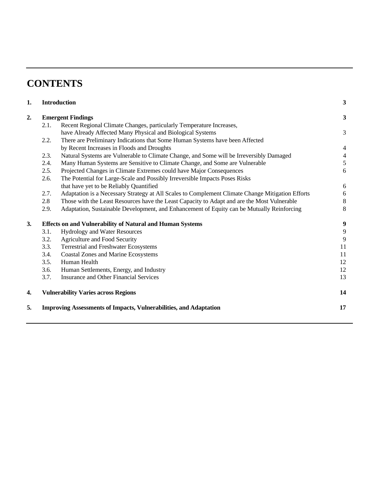# **CONTENTS**

| 1. |      | <b>Introduction</b>                                                                              | $\mathbf{3}$   |
|----|------|--------------------------------------------------------------------------------------------------|----------------|
| 2. |      | <b>Emergent Findings</b>                                                                         | $\mathbf{3}$   |
|    | 2.1. | Recent Regional Climate Changes, particularly Temperature Increases,                             |                |
|    |      | have Already Affected Many Physical and Biological Systems                                       | $\overline{3}$ |
|    | 2.2. | There are Preliminary Indications that Some Human Systems have been Affected                     |                |
|    |      | by Recent Increases in Floods and Droughts                                                       | 4              |
|    | 2.3. | Natural Systems are Vulnerable to Climate Change, and Some will be Irreversibly Damaged          | $\overline{4}$ |
|    | 2.4. | Many Human Systems are Sensitive to Climate Change, and Some are Vulnerable                      | 5              |
|    | 2.5. | Projected Changes in Climate Extremes could have Major Consequences                              | 6              |
|    | 2.6. | The Potential for Large-Scale and Possibly Irreversible Impacts Poses Risks                      |                |
|    |      | that have yet to be Reliably Quantified                                                          | 6              |
|    | 2.7. | Adaptation is a Necessary Strategy at All Scales to Complement Climate Change Mitigation Efforts | 6              |
|    | 2.8  | Those with the Least Resources have the Least Capacity to Adapt and are the Most Vulnerable      | 8              |
|    | 2.9. | Adaptation, Sustainable Development, and Enhancement of Equity can be Mutually Reinforcing       | 8              |
| 3. |      | <b>Effects on and Vulnerability of Natural and Human Systems</b>                                 | 9              |
|    | 3.1. | Hydrology and Water Resources                                                                    | 9              |
|    | 3.2. | Agriculture and Food Security                                                                    | 9              |
|    | 3.3. | Terrestrial and Freshwater Ecosystems                                                            | 11             |
|    | 3.4. | <b>Coastal Zones and Marine Ecosystems</b>                                                       | 11             |
|    | 3.5. | Human Health                                                                                     | 12             |
|    | 3.6. | Human Settlements, Energy, and Industry                                                          | 12             |
|    | 3.7. | Insurance and Other Financial Services                                                           | 13             |
| 4. |      | <b>Vulnerability Varies across Regions</b>                                                       | 14             |
| 5. |      | <b>Improving Assessments of Impacts, Vulnerabilities, and Adaptation</b>                         | 17             |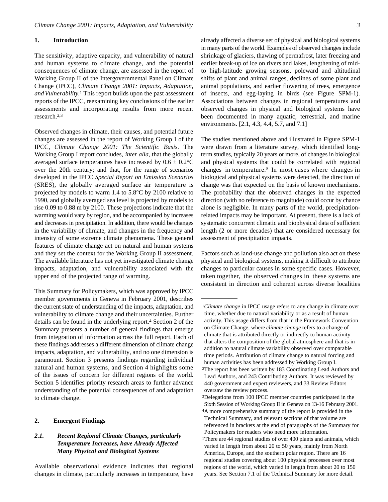#### **1. Introduction**

The sensitivity, adaptive capacity, and vulnerability of natural and human systems to climate change, and the potential consequences of climate change, are assessed in the report of Working Group II of the Intergovernmental Panel on Climate Change (IPCC), *Climate Change 2001: Impacts, Adaptation, and Vulnerability.* <sup>1</sup> This report builds upon the past assessment reports of the IPCC, reexamining key conclusions of the earlier assessments and incorporating results from more recent research.2,3

Observed changes in climate, their causes, and potential future changes are assessed in the report of Working Group I of the IPCC, *Climate Change 2001: The Scientific Basis*. The Working Group I report concludes, *inter alia*, that the globally averaged surface temperatures have increased by  $0.6 \pm 0.2$ °C over the 20th century; and that, for the range of scenarios developed in the IPCC *Special Report on Emission Scenarios* (SRES), the globally averaged surface air temperature is projected by models to warm  $1.4$  to  $5.8^{\circ}$ C by  $2100$  relative to 1990, and globally averaged sea level is projected by models to rise 0.09 to 0.88 m by 2100. These projections indicate that the warming would vary by region, and be accompanied by increases and decreases in precipitation. In addition, there would be changes in the variability of climate, and changes in the frequency and intensity of some extreme climate phenomena. These general features of climate change act on natural and human systems and they set the context for the Working Group II assessment. The available literature has not yet investigated climate change impacts, adaptation, and vulnerability associated with the upper end of the projected range of warming.

This Summary for Policymakers, which was approved by IPCC member governments in Geneva in February 2001, describes the current state of understanding of the impacts, adaptation, and vulnerability to climate change and their uncertainties. Further details can be found in the underlying report.<sup>4</sup> Section 2 of the Summary presents a number of general findings that emerge from integration of information across the full report. Each of these findings addresses a different dimension of climate change impacts, adaptation, and vulnerability, and no one dimension is paramount. Section 3 presents findings regarding individual natural and human systems, and Section 4 highlights some of the issues of concern for different regions of the world. Section 5 identifies priority research areas to further advance understanding of the potential consequences of and adaptation to climate change.

#### **2. Emergent Findings**

# *2.1. Recent Regional Climate Changes, particularly Temperature Increases, have Already Affected Many Physical and Biological Systems*

Available observational evidence indicates that regional changes in climate, particularly increases in temperature, have

already affected a diverse set of physical and biological systems in many parts of the world. Examples of observed changes include shrinkage of glaciers, thawing of permafrost, later freezing and earlier break-up of ice on rivers and lakes, lengthening of midto high-latitude growing seasons, poleward and altitudinal shifts of plant and animal ranges, declines of some plant and animal populations, and earlier flowering of trees, emergence of insects, and egg-laying in birds (see Figure SPM-1). Associations between changes in regional temperatures and observed changes in physical and biological systems have been documented in many aquatic, terrestrial, and marine environments.  $[2.1, 4.3, 4.4, 5.7,$  and  $7.1]$ 

The studies mentioned above and illustrated in Figure SPM-1 were drawn from a literature survey, which identified longterm studies, typically 20 years or more, of changes in biological and physical systems that could be correlated with regional changes in temperature.<sup>5</sup> In most cases where changes in biological and physical systems were detected, the direction of change was that expected on the basis of known mechanisms. The probability that the observed changes in the expected direction (with no reference to magnitude) could occur by chance alone is negligible. In many parts of the world, precipitationrelated impacts may be important. At present, there is a lack of systematic concurrent climatic and biophysical data of sufficient length (2 or more decades) that are considered necessary for assessment of precipitation impacts.

Factors such as land-use change and pollution also act on these physical and biological systems, making it difficult to attribute changes to particular causes in some specific cases. However, taken together, the observed changes in these systems are consistent in direction and coherent across diverse localities

<sup>1</sup>*Climate change* in IPCC usage refers to any change in climate over time, whether due to natural variability or as a result of human activity. This usage differs from that in the Framework Convention on Climate Change, where *climate change* refers to a change of climate that is attributed directly or indirectly to human activity that alters the composition of the global atmosphere and that is in addition to natural climate variability observed over comparable time periods. Attribution of climate change to natural forcing and human activities has been addressed by Working Group I.

<sup>2</sup>The report has been written by 183 Coordinating Lead Authors and Lead Authors, and 243 Contributing Authors. It was reviewed by 440 government and expert reviewers, and 33 Review Editors oversaw the review process.

<sup>3</sup>Delegations from 100 IPCC member countries participated in the Sixth Session of Working Group II in Geneva on 13-16 February 2001. <sup>4</sup>A more comprehensive summary of the report is provided in the Technical Summary, and relevant sections of that volume are referenced in brackets at the end of paragraphs of the Summary for Policymakers for readers who need more information. <sup>5</sup>There are 44 regional studies of over 400 plants and animals, which varied in length from about 20 to 50 years, mainly from North America, Europe, and the southern polar region. There are 16 regional studies covering about 100 physical processes over most regions of the world, which varied in length from about 20 to 150 years. See Section 7.1 of the Technical Summary for more detail.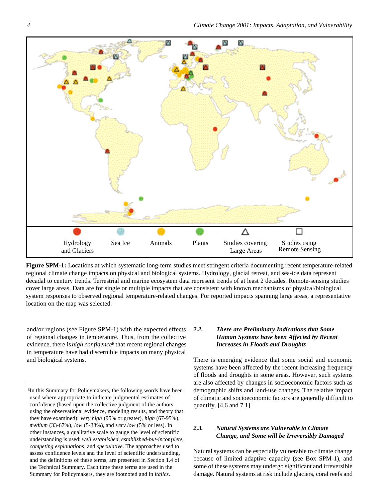

**Figure SPM-1:** Locations at which systematic long-term studies meet stringent criteria documenting recent temperature-related regional climate change impacts on physical and biological systems. Hydrology, glacial retreat, and sea-ice data represent decadal to century trends. Terrestrial and marine ecosystem data represent trends of at least 2 decades. Remote-sensing studies cover large areas. Data are for single or multiple impacts that are consistent with known mechanisms of physical/biological system responses to observed regional temperature-related changes. For reported impacts spanning large areas, a representative location on the map was selected.

and/or regions (see Figure SPM-1) with the expected effects of regional changes in temperature. Thus, from the collective evidence, there is *high confidence*<sup>6</sup> that recent regional changes in temperature have had discernible impacts on many physical and biological systems.

# *2.2. There are Preliminary Indications that Some Human Systems have been Affected by Recent Increases in Floods and Droughts*

There is emerging evidence that some social and economic systems have been affected by the recent increasing frequency of floods and droughts in some areas. However, such systems are also affected by changes in socioeconomic factors such as demographic shifts and land-use changes. The relative impact of climatic and socioeconomic factors are generally difficult to quantify. [4.6 and 7.1]

# *2.3. Natural Systems are Vulnerable to Climate Change, and Some will be Irreversibly Damaged*

Natural systems can be especially vulnerable to climate change because of limited adaptive capacity (see Box SPM-1), and some of these systems may undergo significant and irreversible damage. Natural systems at risk include glaciers, coral reefs and

<sup>6</sup>In this Summary for Policymakers, the following words have been used where appropriate to indicate judgmental estimates of confidence (based upon the collective judgment of the authors using the observational evidence, modeling results, and theory that they have examined): *very high* (95% or greater), *high* (67-95%), *medium* (33-67%), *low* (5-33%), and *very low* (5% or less). In other instances, a qualitative scale to gauge the level of scientific understanding is used: *well established, established-but-incomplete, competing explanations*, and *speculative*. The approaches used to assess confidence levels and the level of scientific understanding, and the definitions of these terms, are presented in Section 1.4 of the Technical Summary. Each time these terms are used in the Summary for Policymakers, they are footnoted and in *italics*.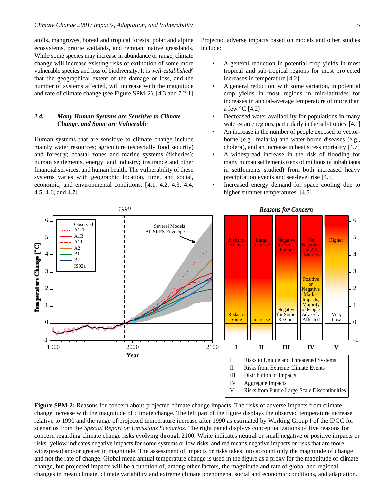atolls, mangroves, boreal and tropical forests, polar and alpine ecosystems, prairie wetlands, and remnant native grasslands. While some species may increase in abundance or range, climate change will increase existing risks of extinction of some more vulnerable species and loss of biodiversity. It is *well-established*<sup>6</sup> that the geographical extent of the damage or loss, and the number of systems affected, will increase with the magnitude and rate of climate change (see Figure SPM-2). [4.3 and 7.2.1]

### *2.4. Many Human Systems are Sensitive to Climate Change, and Some are Vulnerable*

Human systems that are sensitive to climate change include mainly water resources; agriculture (especially food security) and forestry; coastal zones and marine systems (fisheries); human settlements, energy, and industry; insurance and other financial services; and human health. The vulnerability of these systems varies with geographic location, time, and social, economic, and environmental conditions. [4.1, 4.2, 4.3, 4.4, 4.5, 4.6, and 4.7]

Projected adverse impacts based on models and other studies include:

- A general reduction in potential crop yields in most tropical and sub-tropical regions for most projected increases in temperature [4.2]
- A general reduction, with some variation, in potential crop yields in most regions in mid-latitudes for increases in annual-average temperature of more than a few °C [4.2]
- Decreased water availability for populations in many water-scarce regions, particularly in the sub-tropics  $[4.1]$
- An increase in the number of people exposed to vectorborne (e.g., malaria) and water-borne diseases (e.g., cholera), and an increase in heat stress mortality [4.7]
- A widespread increase in the risk of flooding for many human settlements (tens of millions of inhabitants in settlements studied) from both increased heavy precipitation events and sea-level rise [4.5]
- Increased energy demand for space cooling due to higher summer temperatures. [4.5]



**Figure SPM-2:** Reasons for concern about projected climate change impacts. The risks of adverse impacts from climate change increase with the magnitude of climate change. The left part of the figure displays the observed temperature increase relative to 1990 and the range of projected temperature increase after 1990 as estimated by Working Group I of the IPCC for scenarios from the *Special Report on Emissions Scenarios*. The right panel displays conceptualizations of five reasons for concern regarding climate change risks evolving through 2100. White indicates neutral or small negative or positive impacts or risks, yellow indicates negative impacts for some systems or low risks, and red means negative impacts or risks that are more widespread and/or greater in magnitude. The assessment of impacts or risks takes into account only the magnitude of change and not the rate of change. Global mean annual temperature change is used in the figure as a proxy for the magnitude of climate change, but projected impacts will be a function of, among other factors, the magnitude and rate of global and regional changes in mean climate, climate variability and extreme climate phenomena, social and economic conditions, and adaptation.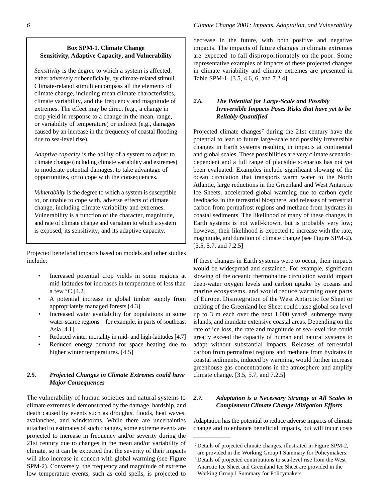### **Box SPM-1. Climate Change Sensitivity, Adaptive Capacity, and Vulnerability**

*Sensitivity* is the degree to which a system is affected, either adversely or beneficially, by climate-related stimuli. Climate-related stimuli encompass all the elements of climate change, including mean climate characteristics, climate variability, and the frequency and magnitude of extremes. The effect may be direct (e.g., a change in crop yield in response to a change in the mean, range, or variability of temperature) or indirect (e.g., damages caused by an increase in the frequency of coastal flooding due to sea-level rise).

*Adaptive capacity* is the ability of a system to adjust to climate change (including climate variability and extremes) to moderate potential damages, to take advantage of opportunities, or to cope with the consequences.

*Vulnerability* is the degree to which a system is susceptible to, or unable to cope with, adverse effects of climate change, including climate variability and extremes. Vulnerability is a function of the character, magnitude, and rate of climate change and variation to which a system is exposed, its sensitivity, and its adaptive capacity.

Projected beneficial impacts based on models and other studies include:

- Increased potential crop yields in some regions at mid-latitudes for increases in temperature of less than a few  $\mathrm{^{\circ}C}$  [4.2]
- A potential increase in global timber supply from appropriately managed forests [4.3]
- Increased water availability for populations in some water-scarce regions—for example, in parts of southeast Asia [4.1]
- Reduced winter mortality in mid- and high-latitudes [4.7]
- Reduced energy demand for space heating due to higher winter temperatures. [4.5]

#### *2.5. Projected Changes in Climate Extremes could have Major Consequences*

The vulnerability of human societies and natural systems to climate extremes is demonstrated by the damage, hardship, and death caused by events such as droughts, floods, heat waves, avalanches, and windstorms. While there are uncertainties attached to estimates of such changes, some extreme events are projected to increase in frequency and/or severity during the 21st century due to changes in the mean and/or variability of climate, so it can be expected that the severity of their impacts will also increase in concert with global warming (see Figure SPM-2). Conversely, the frequency and magnitude of extreme low temperature events, such as cold spells, is projected to decrease in the future, with both positive and negative impacts. The impacts of future changes in climate extremes are expected to fall disproportionately on the poor. Some representative examples of impacts of these projected changes in climate variability and climate extremes are presented in Table SPM-1. [3.5, 4.6, 6, and 7.2.4]

# *2.6. The Potential for Large-Scale and Possibly Irreversible Impacts Poses Risks that have yet to be Reliably Quantified*

Projected climate changes<sup>7</sup> during the 21st century have the potential to lead to future large-scale and possibly irreversible changes in Earth systems resulting in impacts at continental and global scales. These possibilities are very climate scenariodependent and a full range of plausible scenarios has not yet been evaluated. Examples include significant slowing of the ocean circulation that transports warm water to the North Atlantic, large reductions in the Greenland and West Antarctic Ice Sheets, accelerated global warming due to carbon cycle feedbacks in the terrestrial biosphere, and releases of terrestrial carbon from permafrost regions and methane from hydrates in coastal sediments. The likelihood of many of these changes in Earth systems is not well-known, but is probably very low; however, their likelihood is expected to increase with the rate, magnitude, and duration of climate change (see Figure SPM-2). [3.5, 5.7, and 7.2.5]

If these changes in Earth systems were to occur, their impacts would be widespread and sustained. For example, significant slowing of the oceanic thermohaline circulation would impact deep-water oxygen levels and carbon uptake by oceans and marine ecosystems, and would reduce warming over parts of Europe. Disintegration of the West Antarctic Ice Sheet or melting of the Greenland Ice Sheet could raise global sea level up to 3 m each over the next  $1,000$  years<sup>8</sup>, submerge many islands, and inundate extensive coastal areas. Depending on the rate of ice loss, the rate and magnitude of sea-level rise could greatly exceed the capacity of human and natural systems to adapt without substantial impacts. Releases of terrestrial carbon from permafrost regions and methane from hydrates in coastal sediments, induced by warming, would further increase greenhouse gas concentrations in the atmosphere and amplify climate change. [3.5, 5.7, and 7.2.5]

# *2.7. Adaptation is a Necessary Strategy at All Scales to Complement Climate Change Mitigation Efforts*

Adaptation has the potential to reduce adverse impacts of climate change and to enhance beneficial impacts, but will incur costs

<sup>7</sup>Details of projected climate changes, illustrated in Figure SPM-2, are provided in the Working Group I Summary for Policymakers. <sup>8</sup>Details of projected contributions to sea-level rise from the West Anarctic Ice Sheet and Greenland Ice Sheet are provided in the Working Group I Summary for Policymakers.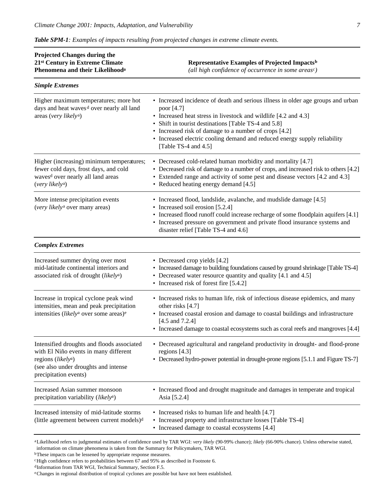| Table SPM-1: Examples of impacts resulting from projected changes in extreme climate events. |  |  |  |  |  |  |  |  |
|----------------------------------------------------------------------------------------------|--|--|--|--|--|--|--|--|
|----------------------------------------------------------------------------------------------|--|--|--|--|--|--|--|--|

| <b>Projected Changes during the</b><br>21st Century in Extreme Climate<br>Phenomena and their Likelihood <sup>a</sup>                                                                  | Representative Examples of Projected Impacts <sup>b</sup><br>(all high confidence of occurrence in some areasc)                                                                                                                                                                                                                                                                         |  |  |  |
|----------------------------------------------------------------------------------------------------------------------------------------------------------------------------------------|-----------------------------------------------------------------------------------------------------------------------------------------------------------------------------------------------------------------------------------------------------------------------------------------------------------------------------------------------------------------------------------------|--|--|--|
| <b>Simple Extremes</b>                                                                                                                                                                 |                                                                                                                                                                                                                                                                                                                                                                                         |  |  |  |
| Higher maximum temperatures; more hot<br>days and heat waves <sup>d</sup> over nearly all land<br>areas (very likely <sup>a</sup> )                                                    | • Increased incidence of death and serious illness in older age groups and urban<br>poor [4.7]<br>• Increased heat stress in livestock and wildlife [4.2 and 4.3]<br>• Shift in tourist destinations [Table TS-4 and 5.8]<br>• Increased risk of damage to a number of crops [4.2]<br>• Increased electric cooling demand and reduced energy supply reliability<br>[Table TS-4 and 4.5] |  |  |  |
| Higher (increasing) minimum temperatures;<br>fewer cold days, frost days, and cold<br>waves <sup>d</sup> over nearly all land areas<br>(very likely <sup>a</sup> )                     | • Decreased cold-related human morbidity and mortality [4.7]<br>• Decreased risk of damage to a number of crops, and increased risk to others [4.2]<br>• Extended range and activity of some pest and disease vectors [4.2 and 4.3]<br>• Reduced heating energy demand [4.5]                                                                                                            |  |  |  |
| More intense precipitation events<br>(very likely <sup>a</sup> over many areas)                                                                                                        | • Increased flood, landslide, avalanche, and mudslide damage [4.5]<br>• Increased soil erosion [5.2.4]<br>• Increased flood runoff could increase recharge of some floodplain aquifers [4.1]<br>• Increased pressure on government and private flood insurance systems and<br>disaster relief [Table TS-4 and 4.6]                                                                      |  |  |  |
| <b>Complex Extremes</b>                                                                                                                                                                |                                                                                                                                                                                                                                                                                                                                                                                         |  |  |  |
| Increased summer drying over most<br>mid-latitude continental interiors and<br>associated risk of drought (likely <sup>a</sup> )                                                       | • Decreased crop yields [4.2]<br>• Increased damage to building foundations caused by ground shrinkage [Table TS-4]<br>• Decreased water resource quantity and quality [4.1 and 4.5]<br>• Increased risk of forest fire [5.4.2]                                                                                                                                                         |  |  |  |
| Increase in tropical cyclone peak wind<br>intensities, mean and peak precipitation<br>intensities (likely <sup>a</sup> over some areas) <sup>e</sup>                                   | • Increased risks to human life, risk of infectious disease epidemics, and many<br>other risks [4.7]<br>• Increased coastal erosion and damage to coastal buildings and infrastructure<br>$[4.5$ and $7.2.4]$<br>• Increased damage to coastal ecosystems such as coral reefs and mangroves [4.4]                                                                                       |  |  |  |
| Intensified droughts and floods associated<br>with El Niño events in many different<br>regions (likely <sup>a</sup> )<br>(see also under droughts and intense<br>precipitation events) | • Decreased agricultural and rangeland productivity in drought- and flood-prone<br>regions $[4.3]$<br>• Decreased hydro-power potential in drought-prone regions [5.1.1 and Figure TS-7]                                                                                                                                                                                                |  |  |  |
| Increased Asian summer monsoon<br>precipitation variability (likely <sup>a</sup> )                                                                                                     | • Increased flood and drought magnitude and damages in temperate and tropical<br>Asia [5.2.4]                                                                                                                                                                                                                                                                                           |  |  |  |
| Increased intensity of mid-latitude storms<br>(little agreement between current models) <sup>d</sup>                                                                                   | • Increased risks to human life and health [4.7]<br>• Increased property and infrastructure losses [Table TS-4]<br>• Increased damage to coastal ecosystems [4.4]                                                                                                                                                                                                                       |  |  |  |

aLikelihood refers to judgmental estimates of confidence used by TAR WGI: *very likely* (90-99% chance); *likely* (66-90% chance). Unless otherwise stated, information on climate phenomena is taken from the Summary for Policymakers, TAR WGI.

bThese impacts can be lessened by appropriate response measures.

cHigh confidence refers to probabilities between 67 and 95% as described in Footnote 6.

dInformation from TAR WGI, Technical Summary, Section F.5.

eChanges in regional distribution of tropical cyclones are possible but have not been established.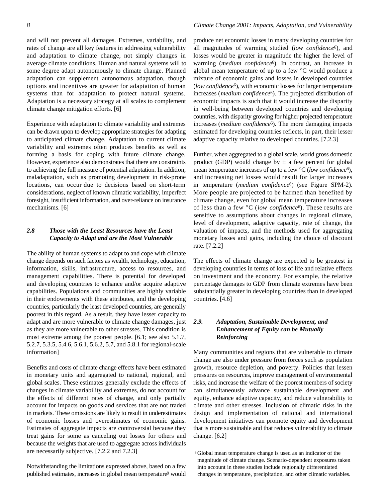and will not prevent all damages. Extremes, variability, and rates of change are all key features in addressing vulnerability and adaptation to climate change, not simply changes in average climate conditions. Human and natural systems will to some degree adapt autonomously to climate change. Planned adaptation can supplement autonomous adaptation, though options and incentives are greater for adaptation of human systems than for adaptation to protect natural systems. Adaptation is a necessary strategy at all scales to complement climate change mitigation efforts. [6]

Experience with adaptation to climate variability and extremes can be drawn upon to develop appropriate strategies for adapting to anticipated climate change. Adaptation to current climate variability and extremes often produces benefits as well as forming a basis for coping with future climate change. However, experience also demonstrates that there are constraints to achieving the full measure of potential adaptation. In addition, maladaptation, such as promoting development in risk-prone locations, can occur due to decisions based on short-term considerations, neglect of known climatic variability, imperfect foresight, insufficient information, and over-reliance on insurance mechanisms. [6]

### *2.8 Those with the Least Resources have the Least Capacity to Adapt and are the Most Vulnerable*

The ability of human systems to adapt to and cope with climate change depends on such factors as wealth, technology, education, information, skills, infrastructure, access to resources, and management capabilities. There is potential for developed and developing countries to enhance and/or acquire adaptive capabilities. Populations and communities are highly variable in their endowments with these attributes, and the developing countries, particularly the least developed countries, are generally poorest in this regard. As a result, they have lesser capacity to adapt and are more vulnerable to climate change damages, just as they are more vulnerable to other stresses. This condition is most extreme among the poorest people. [6.1; see also 5.1.7, 5.2.7, 5.3.5, 5.4.6, 5.6.1, 5.6.2, 5.7, and 5.8.1 for regional-scale information]

Benefits and costs of climate change effects have been estimated in monetary units and aggregated to national, regional, and global scales. These estimates generally exclude the effects of changes in climate variability and extremes, do not account for the effects of different rates of change, and only partially account for impacts on goods and services that are not traded in markets. These omissions are likely to result in underestimates of economic losses and overestimates of economic gains. Estimates of aggregate impacts are controversial because they treat gains for some as canceling out losses for others and because the weights that are used to aggregate across individuals are necessarily subjective. [7.2.2 and 7.2.3]

Notwithstanding the limitations expressed above, based on a few published estimates, increases in global mean temperature<sup>9</sup> would produce net economic losses in many developing countries for all magnitudes of warming studied (low confidence<sup>6</sup>), and losses would be greater in magnitude the higher the level of warming (*medium confidence*6). In contrast, an increase in global mean temperature of up to a few °C would produce a mixture of economic gains and losses in developed countries (*low confidence*6), with economic losses for larger temperature increases (*medium confidence*6). The projected distribution of economic impacts is such that it would increase the disparity in well-being between developed countries and developing countries, with disparity growing for higher projected temperature increases (*medium confidence*6). The more damaging impacts estimated for developing countries reflects, in part, their lesser adaptive capacity relative to developed countries. [7.2.3]

Further, when aggregated to a global scale, world gross domestic product (GDP) would change by  $\pm$  a few percent for global mean temperature increases of up to a few <sup>o</sup>C (*low confidence*<sup>6</sup>), and increasing net losses would result for larger increases in temperature (*medium confidence*6) (see Figure SPM-2). More people are projected to be harmed than benefited by climate change, even for global mean temperature increases of less than a few °C (low confidence<sup>6</sup>). These results are sensitive to assumptions about changes in regional climate, level of development, adaptive capacity, rate of change, the valuation of impacts, and the methods used for aggregating monetary losses and gains, including the choice of discount rate. [7.2.2]

The effects of climate change are expected to be greatest in developing countries in terms of loss of life and relative effects on investment and the economy. For example, the relative percentage damages to GDP from climate extremes have been substantially greater in developing countries than in developed countries. [4.6]

#### *2.9. Adaptation, Sustainable Development, and Enhancement of Equity can be Mutually Reinforcing*

Many communities and regions that are vulnerable to climate change are also under pressure from forces such as population growth, resource depletion, and poverty. Policies that lessen pressures on resources, improve management of environmental risks, and increase the welfare of the poorest members of society can simultaneously advance sustainable development and equity, enhance adaptive capacity, and reduce vulnerability to climate and other stresses. Inclusion of climatic risks in the design and implementation of national and international development initiatives can promote equity and development that is more sustainable and that reduces vulnerability to climate change. [6.2]

<sup>9</sup>Global mean temperature change is used as an indicator of the magnitude of climate change. Scenario-dependent exposures taken into account in these studies include regionally differentiated changes in temperature, precipitation, and other climatic variables.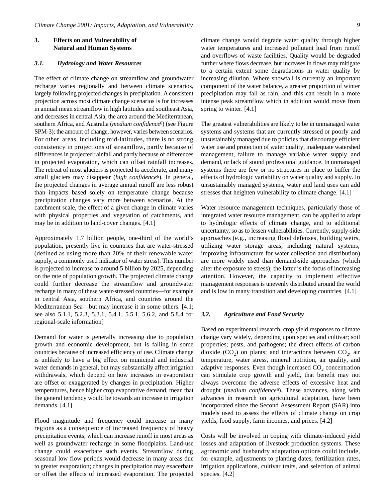#### **3. Effects on and Vulnerability of Natural and Human Systems**

#### *3.1. Hydrology and Water Resources*

The effect of climate change on streamflow and groundwater recharge varies regionally and between climate scenarios, largely following projected changes in precipitation. A consistent projection across most climate change scenarios is for increases in annual mean streamflow in high latitudes and southeast Asia, and decreases in central Asia, the area around the Mediterranean, southern Africa, and Australia (*medium confidence*6) (see Figure SPM-3); the amount of change, however, varies between scenarios. For other areas, including mid-latitudes, there is no strong consistency in projections of streamflow, partly because of differences in projected rainfall and partly because of differences in projected evaporation, which can offset rainfall increases. The retreat of most glaciers is projected to accelerate, and many small glaciers may disappear (*high confidence*6). In general, the projected changes in average annual runoff are less robust than impacts based solely on temperature change because precipitation changes vary more between scenarios. At the catchment scale, the effect of a given change in climate varies with physical properties and vegetation of catchments, and may be in addition to land-cover changes. [4.1]

Approximately 1.7 billion people, one-third of the world's population, presently live in countries that are water-stressed (defined as using more than 20% of their renewable water supply, a commonly used indicator of water stress). This number is projected to increase to around 5 billion by 2025, depending on the rate of population growth. The projected climate change could further decrease the streamflow and groundwater recharge in many of these water-stressed countries—for example in central Asia, southern Africa, and countries around the Mediterranean Sea—but may increase it in some others. [4.1; see also 5.1.1, 5.2.3, 5.3.1, 5.4.1, 5.5.1, 5.6.2, and 5.8.4 for regional-scale information]

Demand for water is generally increasing due to population growth and economic development, but is falling in some countries because of increased efficiency of use. Climate change is unlikely to have a big effect on municipal and industrial water demands in general, but may substantially affect irrigation withdrawals, which depend on how increases in evaporation are offset or exaggerated by changes in precipitation. Higher temperatures, hence higher crop evaporative demand, mean that the general tendency would be towards an increase in irrigation demands. [4.1]

Flood magnitude and frequency could increase in many regions as a consequence of increased frequency of heavy precipitation events, which can increase runoff in most areas as well as groundwater recharge in some floodplains. Land-use change could exacerbate such events. Streamflow during se asonal low flow periods would decrease in many areas due to greater evaporation; changes in precipitation may exacerbate or offset the effects of increased evaporation. The projected

climate change would degrade water quality through higher water temperatures and increased pollutant load from runoff and overflows of waste facilities. Quality would be degraded further where flows decrease, but increases in flows may mitigate to a certain extent some degradations in water quality by increasing dilution. Where snowfall is currently an important component of the water balance, a greater proportion of winter precipitation may fall as rain, and this can result in a more intense peak streamflow which in addition would move from spring to winter. [4.1]

The greatest vulnerabilities are likely to be in unmanaged water systems and systems that are currently stressed or poorly and unsustainably managed due to policies that discourage efficient water use and protection of water quality, inadequate watershed management, failure to manage variable water supply and demand, or lack of sound professional guidance. In unmanaged systems there are few or no structures in place to buffer the effects of hydrologic variability on water quality and supply. In unsustainably managed systems, water and land uses can add stresses that heighten vulnerability to climate change. [4.1]

Water resource management techniques, particularly those of integrated water resource management, can be applied to adapt to hydrologic effects of climate change, and to additional uncertainty, so as to lessen vulnerabilities. Currently, supply-side approaches (e.g., increasing flood defenses, building weirs, utilizing water storage areas, including natural systems, improving infrastructure for water collection and distribution) are more widely used than demand-side approaches (which alter the exposure to stress); the latter is the focus of increasing attention. However, the capacity to implement effective management responses is unevenly distributed around the world and is low in many transition and developing countries. [4.1]

#### *3.2. Agriculture and Food Security*

Based on experimental research, crop yield responses to climate change vary widely, depending upon species and cultivar; soil properties; pests, and pathogens; the direct effects of carbon dioxide  $(CO_2)$  on plants; and interactions between  $CO_2$ , air temperature, water stress, mineral nutrition, air quality, and adaptive responses. Even though increased  $CO<sub>2</sub>$  concentration can stimulate crop growth and yield, that benefit may not always overcome the adverse effects of excessive heat and drought (*medium confidence*6). These advances, along with advances in research on agricultural adaptation, have been incorporated since the Second Assessment Report (SAR) into models used to assess the effects of climate change on crop yields, food supply, farm incomes, and prices. [4.2]

Costs will be involved in coping with climate-induced yield losses and adaptation of livestock production systems. These agronomic and husbandry adaptation options could include, for example, adjustments to planting dates, fertilization rates, irrigation applications, cultivar traits, and selection of animal species. [4.2]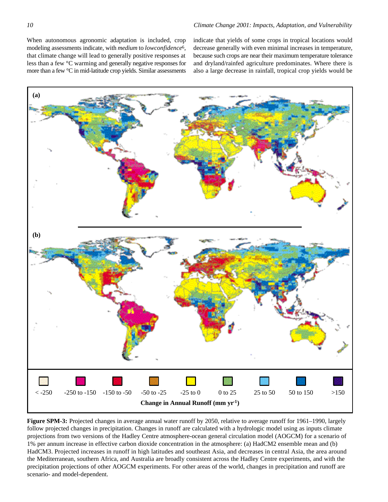When autonomous agronomic adaptation is included, crop modeling assessments indicate, with *medium* to *lowconfidence*<sup>6</sup>, that climate change will lead to generally positive responses at less than a few °C warming and generally negative responses for more than a few °C in mid-latitude crop yields. Similar assessments

indicate that yields of some crops in tropical locations would decrease generally with even minimal increases in temperature, because such crops are near their maximum temperature tolerance and dryland/rainfed agriculture predominates. Where there is also a large decrease in rainfall, tropical crop yields would be



Figure SPM-3: Projected changes in average annual water runoff by 2050, relative to average runoff for 1961–1990, largely follow projected changes in precipitation. Changes in runoff are calculated with a hydrologic model using as inputs climate projections from two versions of the Hadley Centre atmosphere-ocean general circulation model (AOGCM) for a scenario of 1% per annum increase in effective carbon dioxide concentration in the atmosphere: (a) HadCM2 ensemble mean and (b) HadCM3. Projected increases in runoff in high latitudes and southeast Asia, and decreases in central Asia, the area around the Mediterranean, southern Africa, and Australia are broadly consistent across the Hadley Centre experiments, and with the precipitation projections of other AOGCM experiments. For other areas of the world, changes in precipitation and runoff are scenario- and model-dependent.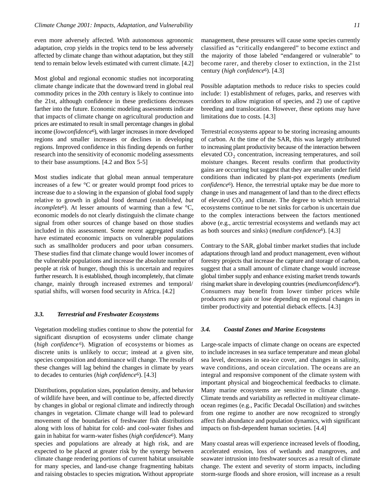even more adversely affected. With autonomous agronomic adaptation, crop yields in the tropics tend to be less adversely a ffected by climate change than without adaptation, but they still tend to remain below levels estimated with current climate. [4.2]

Most global and regional economic studies not incorporating climate change indicate that the downward trend in global real commodity prices in the 20th century is likely to continue into the 21st, although confidence in these predictions decreases farther into the future. Economic modeling assessments indicate that impacts of climate change on agricultural production and prices are estimated to result in small percentage changes in global income (*lowconfidence*<sup>6</sup>), with larger increases in more developed regions and smaller increases or declines in developing regions. Improved confidence in this finding depends on further research into the sensitivity of economic modeling assessments to their base assumptions. [4.2 and Box 5-5]

Most studies indicate that global mean annual temperature increases of a few °C or greater would prompt food prices to increase due to a slowing in the expansion of global food supply relative to growth in global food demand (*established, but incomplete*<sup>6</sup>). At lesser amounts of warming than a few <sup>o</sup>C, economic models do not clearly distinguish the climate change signal from other sources of change based on those studies included in this assessment. Some recent aggregated studies have estimated economic impacts on vulnerable populations such as smallholder producers and poor urban consumers. These studies find that climate change would lower incomes of the vulnerable populations and increase the absolute number of people at risk of hunger, though this is uncertain and requires further research. It is established, though incompletely, that climate change, mainly through increased extremes and temporal/ spatial shifts, will worsen food security in Africa. [4.2]

#### *3.3. Terrestrial and Freshwater Ecosystems*

Vegetation modeling studies continue to show the potential for significant disruption of ecosystems under climate change (*high confidence* <sup>6</sup>). Migration of ecosystems or biomes as discrete units is unlikely to occur; instead at a given site, species composition and dominance will change. The results of these changes will lag behind the changes in climate by years to decades to centuries (*high confidence*6). [4.3]

Distributions, population sizes, population density, and behavior of wildlife have been, and will continue to be, affected directly by changes in global or regional climate and indirectly through changes in vegetation. Climate change will lead to poleward movement of the boundaries of freshwater fish distributions along with loss of habitat for cold- and cool-water fishes and gain in habitat for warm-water fishes (*high confidence*6). Many species and populations are already at high risk, and are expected to be placed at greater risk by the synergy between climate change rendering portions of current habitat unsuitable for many species, and land-use change fragmenting habitats and raising obstacles to species migration**.** Without appropriate

management, these pressures will cause some species currently classified as "critically endangered" to become extinct and the majority of those labeled "endangered or vulnerable" to become rarer, and thereby closer to extinction, in the 21st century (*high confidence*<sup>6</sup>). [4.3]

Possible adaptation methods to reduce risks to species could include: 1) establishment of refuges, parks, and reserves with corridors to allow migration of species, and 2) use of captive breeding and translocation. However, these options may have limitations due to costs. [4.3]

Terrestrial ecosystems appear to be storing increasing amounts of carbon. At the time of the SAR, this was largely attributed to increasing plant productivity because of the interaction between elevated  $CO_2$  concentration, increasing temperatures, and soil moisture changes. Recent results confirm that productivity gains are occurring but suggest that they are smaller under field conditions than indicated by plant-pot experiments (*medium confidence*6). Hence, the terrestrial uptake may be due more to change in uses and management of land than to the direct effects of elevated  $CO<sub>2</sub>$  and climate. The degree to which terrestrial ecosystems continue to be net sinks for carbon is uncertain due to the complex interactions between the factors mentioned above (e.g., arctic terrestrial ecosystems and wetlands may act as both sources and sinks) (*medium confidence*6). [4.3]

Contrary to the SAR, global timber market studies that include adaptations through land and product management, even without forestry projects that increase the capture and storage of carbon, suggest that a small amount of climate change would increase global timber supply and enhance existing market trends towards rising market share in developing countries (*mediumconfidence*<sup>6</sup>). Consumers may benefit from lower timber prices while producers may gain or lose depending on regional changes in timber productivity and potential dieback effects. [4.3]

#### *3.4. Coastal Zones and Marine Ecosystems*

Large-scale impacts of climate change on oceans are expected to include increases in sea surface temperature and mean global sea level, decreases in sea-ice cover, and changes in salinity, wave conditions, and ocean circulation. The oceans are an integral and responsive component of the climate system with important physical and biogeochemical feedbacks to climate. Many marine ecosystems are sensitive to climate change. Climate trends and variability as reflected in multiyear climateocean regimes (e.g., Pacific Decadal Oscillation) and switches from one regime to another are now recognized to strongly a ffect fish abundance and population dynamics, with significant impacts on fish-dependent human societies. [4.4]

Many coastal areas will experience increased levels of flooding, accelerated erosion, loss of wetlands and mangroves, and seawater intrusion into freshwater sources as a result of climate change. The extent and severity of storm impacts, including storm-surge floods and shore erosion, will increase as a result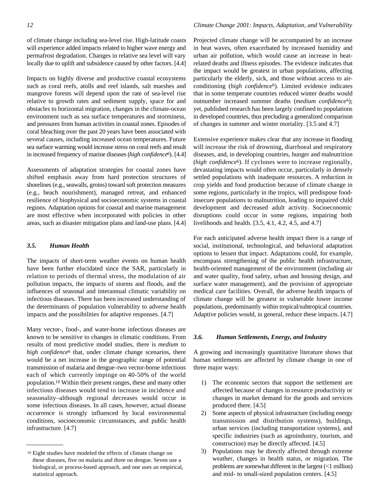of climate change including sea-level rise. High-latitude coasts will experience added impacts related to higher wave energy and permafrost degradation. Changes in relative sea level will vary locally due to uplift and subsidence caused by other factors. [4.4]

Impacts on highly diverse and productive coastal ecosystems such as coral reefs, atolls and reef islands, salt marshes and mangrove forests will depend upon the rate of sea-level rise relative to growth rates and sediment supply, space for and obstacles to horizontal migration, changes in the climate-ocean environment such as sea surface temperatures and storminess, and pressures from human activities in coastal zones. Episodes of coral bleaching over the past 20 years have been associated with several causes, including increased ocean temperatures. Future sea surface warming would increase stress on coral reefs and result in increased frequency of marine diseases (*high confidence*6). [4.4]

Assessments of adaptation strategies for coastal zones have shifted emphasis away from hard protection structures of shorelines (e.g., seawalls, groins) toward soft protection measures (e.g., beach nourishment), managed retreat, and enhanced resilience of biophysical and socioeconomic systems in coastal regions. Adaptation options for coastal and marine management are most effective when incorporated with policies in other areas, such as disaster mitigation plans and land-use plans. [4.4]

#### *3.5. Human Health*

The impacts of short-term weather events on human health have been further elucidated since the SAR, particularly in relation to periods of thermal stress, the modulation of air pollution impacts, the impacts of storms and floods, and the influences of seasonal and interannual climatic variability on infectious diseases. There has been increased understanding of the determinants of population vulnerability to adverse health impacts and the possibilities for adaptive responses. [4.7]

Many vector-, food-, and water-borne infectious diseases are known to be sensitive to changes in climatic conditions. From results of most predictive model studies, there is *medium* to *high confidence*<sup>6</sup> that, under climate change scenarios, there would be a net increase in the geographic range of potential transmission of malaria and dengue–two vector-borne infections each of which currently impinge on 40-50% of the world population.<sup>10</sup> Within their present ranges, these and many other infectious diseases would tend to increase in incidence and seasonality-although regional decreases would occur in some infectious diseases. In all cases, however, actual disease occurrence is strongly influenced by local environmental conditions, socioeconomic circumstances, and public health infrastructure. [4.7]

Projected climate change will be accompanied by an increase in heat waves, often exacerbated by increased humidity and urban air pollution, which would cause an increase in heatrelated deaths and illness episodes. The evidence indicates that the impact would be greatest in urban populations, affecting particularly the elderly, sick, and those without access to airconditioning (*high confidence*6). Limited evidence indicates that in some temperate countries reduced winter deaths would outnumber increased summer deaths (*medium confidence*6); yet, published research has been largely confined to populations in developed countries, thus precluding a generalized comparison of changes in summer and winter mortality. [3.5 and 4.7]

Extensive experience makes clear that any increase in flooding will increase the risk of drowning, diarrhoeal and respiratory diseases, and, in developing countries, hunger and malnutrition (*high confidence*6). If cyclones were to increase regionally, devastating impacts would often occur, particularly in densely settled populations with inadequate resources. A reduction in crop yields and food production because of climate change in some regions, particularly in the tropics, will predispose foodinsecure populations to malnutrition, leading to impaired child development and decreased adult activity. Socioeconomic disruptions could occur in some regions, impairing both livelihoods and health.  $[3.5, 4.1, 4.2, 4.5,$  and  $4.7]$ 

For each anticipated adverse health impact there is a range of social, institutional, technological, and behavioral adaptation options to lessen that impact. Adaptations could, for example, encompass strengthening of the public health infrastructure, health-oriented management of the environment (including air and water quality, food safety, urban and housing design, and surface water management), and the provision of appropriate medical care facilities. Overall, the adverse health impacts of climate change will be greatest in vulnerable lower income populations, predominantly within tropical/subtropical countries. Adaptive policies would, in general, reduce these impacts. [4.7]

#### *3.6. Human Settlements, Energy, and Industry*

A growing and increasingly quantitative literature shows that human settlements are affected by climate change in one of three major ways:

- 1) The economic sectors that support the settlement are affected because of changes in resource productivity or changes in market demand for the goods and services produced there. [4.5]
- 2) Some aspects of physical infrastructure (including energy transmission and distribution systems), buildings, urban services (including transportation systems), and specific industries (such as agroindustry, tourism, and construction) may be directly affected. [4.5]
- 3) Populations may be directly affected through extreme weather, changes in health status, or migration. The problems are somewhat different in the largest (<1 million) and mid- to small-sized population centers. [4.5]

<sup>&</sup>lt;sup>10</sup> Eight studies have modeled the effects of climate change on these diseases, five on malaria and three on dengue. Seven use a biological, or process-based approach, and one uses an empirical, statistical approach.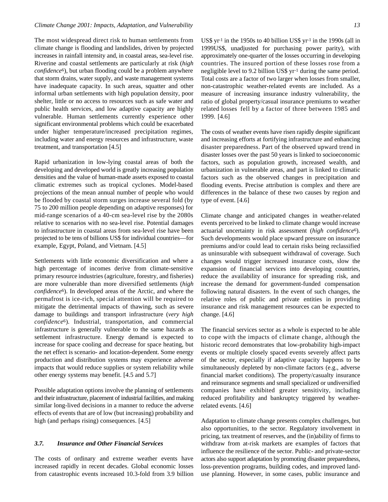The most widespread direct risk to human settlements from climate change is flooding and landslides, driven by projected increases in rainfall intensity and, in coastal areas, sea-level rise. Riverine and coastal settlements are particularly at risk (*high confidence*6), but urban flooding could be a problem anywhere that storm drains, water supply, and waste management systems have inadequate capacity. In such areas, squatter and other informal urban settlements with high population density, poor shelter, little or no access to resources such as safe water and public health services, and low adaptive capacity are highly vulnerable. Human settlements currently experience other significant environmental problems which could be exacerbated under higher temperature/increased precipitation regimes, including water and energy resources and infrastructure, waste treatment, and transportation [4.5]

Rapid urbanization in low-lying coastal areas of both the developing and developed world is greatly increasing population densities and the value of human-made assets exposed to coastal climatic extremes such as tropical cyclones. Model-based projections of the mean annual number of people who would be flooded by coastal storm surges increase several fold (by 75 to 200 million people depending on adaptive responses) for mid-range scenarios of a 40-cm sea-level rise by the 2080s relative to scenarios with no sea-level rise. Potential damages to infrastructure in coastal areas from sea-level rise have been projected to be tens of billions US\$ for individual countries—for example, Egypt, Poland, and Vietnam. [4.5]

Settlements with little economic diversification and where a high percentage of incomes derive from climate-sensitive primary resource industries (agriculture, forestry, and fisheries) are more vulnerable than more diversified settlements (*high confidence*6). In developed areas of the Arctic, and where the permafrost is ice-rich, special attention will be required to mitigate the detrimental impacts of thawing, such as severe damage to buildings and transport infrastructure (*very high confidence*<sup>6</sup>). Industrial, transportation, and commercial in frastructure is generally vulnerable to the same hazards as settlement infrastructure. Energy demand is expected to increase for space cooling and decrease for space heating, but the net effect is scenario- and location-dependent. Some energy production and distribution systems may experience adverse impacts that would reduce supplies or system reliability while other energy systems may benefit. [4.5 and 5.7]

Possible adaptation options involve the planning of settlements and their infrastructure, placement of industrial facilities, and making similar long-lived decisions in a manner to reduce the adverse effects of events that are of low (but increasing) probability and high (and perhaps rising) consequences. [4.5]

#### *3.7. Insurance and Other Financial Services*

The costs of ordinary and extreme weather events have increased rapidly in recent decades. Global economic losses from catastrophic events increased 10.3-fold from 3.9 billion

US\$  $yr<sup>1</sup>$  in the 1950s to 40 billion US\$  $yr<sup>1</sup>$  in the 1990s (all in 1999US\$, unadjusted for purchasing power parity), with approximately one-quarter of the losses occurring in developing countries. The insured portion of these losses rose from a n egligible level to 9.2 billion US\$  $yr^{-1}$  during the same period. Total costs are a factor of two larger when losses from smaller, non-catastrophic weather-related events are included. As a measure of increasing insurance industry vulnerability, the ratio of global property/casual insurance premiums to weather related losses fell by a factor of three between 1985 and 1999. [4.6]

The costs of weather events have risen rapidly despite significant and increasing efforts at fortifying infrastructure and enhancing disaster preparedness. Part of the observed upward trend in disaster losses over the past 50 years is linked to socioeconomic factors, such as population growth, increased wealth, and urbanization in vulnerable areas, and part is linked to climatic factors such as the observed changes in precipitation and flooding events. Precise attribution is complex and there are differences in the balance of these two causes by region and type of event. [4.6]

Climate change and anticipated changes in weather-related events perceived to be linked to climate change would increase actuarial uncertainty in risk assessment (*high confidence*6). Such developments would place upward pressure on insurance premiums and/or could lead to certain risks being reclassified as uninsurable with subsequent withdrawal of coverage. Such changes would trigger increased insurance costs, slow the expansion of financial services into developing countries, reduce the availability of insurance for spreading risk, and increase the demand for government-funded compensation following natural disasters. In the event of such changes, the relative roles of public and private entities in providing insurance and risk management resources can be expected to change. [4.6]

The financial services sector as a whole is expected to be able to cope with the impacts of climate change, although the historic record demonstrates that low-probability high-impact events or multiple closely spaced events severely affect parts of the sector, especially if adaptive capacity happens to be simultaneously depleted by non-climate factors (e.g., adverse financial market conditions). The property/casualty insurance and reinsurance segments and small specialized or undiversified companies have exhibited greater sensitivity, including reduced profitability and bankruptcy triggered by weatherrelated events. [4.6]

Adaptation to climate change presents complex challenges, but also opportunities, to the sector. Regulatory involvement in pricing, tax treatment of reserves, and the (in)ability of firms to withdraw from at-risk markets are examples of factors that influence the resilience of the sector. Public- and private-sector actors also support adaptation by promoting disaster preparedness, loss-prevention programs, building codes, and improved landuse planning. However, in some cases, public insurance and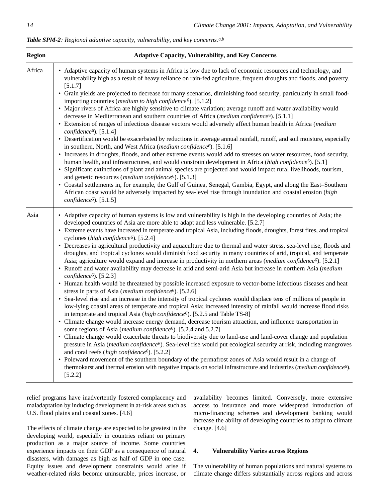| Region | <b>Adaptive Capacity, Vulnerability, and Key Concerns</b>                                                                                                                                                                           |
|--------|-------------------------------------------------------------------------------------------------------------------------------------------------------------------------------------------------------------------------------------|
| Africa | • Adaptive capacity of human systems in Africa is low due to lack of economic resources and technology, and<br>vulnerability high as a result of heavy reliance on rain-fed agriculture, frequent droughts and floods, and poverty. |

*Table SPM-2: Regional adaptive capacity, vulnerability, and key concerns.a,b*

| [5.1.7]                                                                                                             |
|---------------------------------------------------------------------------------------------------------------------|
| • Grain yields are projected to decrease for many scenarios, diminishing food security, particularly in small food- |
| importing countries ( <i>medium to high confidence</i> <sup>6</sup> ). [5.1.2]                                      |
| • Major rivers of Africa are highly sensitive to climate variation; average runoff and water availability would     |

- Major rivers of Africa are highly sensitive to climate variation; average runoff and water availability would decrease in Mediterranean and southern countries of Africa (*medium confidence*6). [5.1.1]
- Extension of ranges of infectious disease vectors would adversely affect human health in Africa (*medium confidence*<sup>6</sup>). [5.1.4]
- Desertification would be exacerbated by reductions in average annual rainfall, runoff, and soil moisture, especially in southern, North, and West Africa (*medium confidence*6). [5.1.6]
- Increases in droughts, floods, and other extreme events would add to stresses on water resources, food security, human health, and infrastructures, and would constrain development in Africa (*high confidence*6). [5.1]
- Significant extinctions of plant and animal species are projected and would impact rural livelihoods, tourism, and genetic resources (*medium confidence*6). [5.1.3]
- Coastal settlements in, for example, the Gulf of Guinea, Senegal, Gambia, Egypt, and along the East–Southern African coast would be adversely impacted by sea-level rise through inundation and coastal erosion (*high confidence*<sup>6</sup>). [5.1.5]

#### Asia • Adaptive capacity of human systems is low and vulnerability is high in the developing countries of Asia; the developed countries of Asia are more able to adapt and less vulnerable. [5.2.7] • Extreme events have increased in temperate and tropical Asia, including floods, droughts, forest fires, and tropical

- cyclones (*high confidence*6). [5.2.4]
- Decreases in agricultural productivity and aquaculture due to thermal and water stress, sea-level rise, floods and droughts, and tropical cyclones would diminish food security in many countries of arid, tropical, and temperate Asia; agriculture would expand and increase in productivity in northern areas (*medium confidence*6). [5.2.1]
- Runoff and water availability may decrease in arid and semi-arid Asia but increase in northern Asia (*medium confidence*6). [5.2.3]
	- Human health would be threatened by possible increased exposure to vector-borne infectious diseases and heat stress in parts of Asia (*medium confidence*6). [5.2.6]
- Sea-level rise and an increase in the intensity of tropical cyclones would displace tens of millions of people in low-lying coastal areas of temperate and tropical Asia; increased intensity of rainfall would increase flood risks in temperate and tropical Asia (*high confidence*6). [5.2.5 and Table TS-8]
- Climate change would increase energy demand, decrease tourism attraction, and influence transportation in some regions of Asia (*medium confidence*6). [5.2.4 and 5.2.7]
- Climate change would exacerbate threats to biodiversity due to land-use and land-cover change and population pressure in Asia (*medium confidence*6). Sea-level rise would put ecological security at risk, including mangroves and coral reefs (*high confidence*6). [5.2.2]

• Poleward movement of the southern boundary of the permafrost zones of Asia would result in a change of thermokarst and thermal erosion with negative impacts on social infrastructure and industries (*medium confidence*6) . [5.2.2]

relief programs have inadvertently fostered complacency and maladaptation by inducing development in at-risk areas such as U.S. flood plains and coastal zones. [4.6]

The effects of climate change are expected to be greatest in the developing world, especially in countries reliant on primary production as a major source of income. Some countries experience impacts on their GDP as a consequence of natural disasters, with damages as high as half of GDP in one case. Equity issues and development constraints would arise if weather-related risks become uninsurable, prices increase, or

availability becomes limited. Conversely, more extensive access to insurance and more widespread introduction of micro-financing schemes and development banking would increase the ability of developing countries to adapt to climate change. [4.6]

#### **4. Vulnerability Varies across Regions**

The vulnerability of human populations and natural systems to climate change differs substantially across regions and across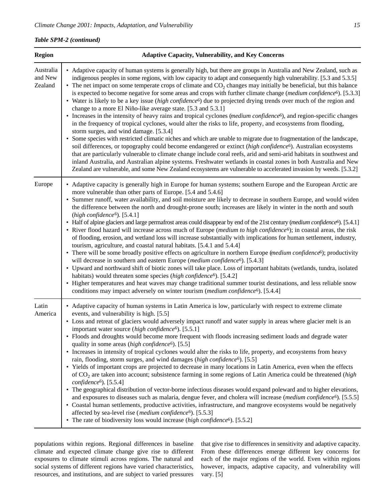#### *Table SPM-2 (continued)*

| <b>Region</b>                   | <b>Adaptive Capacity, Vulnerability, and Key Concerns</b>                                                                                                                                                                                                                                                                                                                                                                                                                                                                                                                                                                                                                                                                                                                                                                                                                                                                                                                                                                                                                                                                                                                                                                                                                                                                                                                                                                                                                                                                                                                                                               |
|---------------------------------|-------------------------------------------------------------------------------------------------------------------------------------------------------------------------------------------------------------------------------------------------------------------------------------------------------------------------------------------------------------------------------------------------------------------------------------------------------------------------------------------------------------------------------------------------------------------------------------------------------------------------------------------------------------------------------------------------------------------------------------------------------------------------------------------------------------------------------------------------------------------------------------------------------------------------------------------------------------------------------------------------------------------------------------------------------------------------------------------------------------------------------------------------------------------------------------------------------------------------------------------------------------------------------------------------------------------------------------------------------------------------------------------------------------------------------------------------------------------------------------------------------------------------------------------------------------------------------------------------------------------------|
| Australia<br>and New<br>Zealand | • Adaptive capacity of human systems is generally high, but there are groups in Australia and New Zealand, such as<br>indigenous peoples in some regions, with low capacity to adapt and consequently high vulnerability. [5.3 and 5.3.5]<br>• The net impact on some temperate crops of climate and $CO2$ changes may initially be beneficial, but this balance<br>is expected to become negative for some areas and crops with further climate change (medium confidence <sup>6</sup> ). [5.3.3]<br>• Water is likely to be a key issue (high confidence <sup>6</sup> ) due to projected drying trends over much of the region and<br>change to a more El Niño-like average state. [5.3 and 5.3.1]<br>• Increases in the intensity of heavy rains and tropical cyclones (medium confidence <sup>6</sup> ), and region-specific changes<br>in the frequency of tropical cyclones, would alter the risks to life, property, and ecosystems from flooding,<br>storm surges, and wind damage. [5.3.4]<br>Some species with restricted climatic niches and which are unable to migrate due to fragmentation of the landscape,<br>soil differences, or topography could become endangered or extinct (high confidence <sup>6</sup> ). Australian ecosystems<br>that are particularly vulnerable to climate change include coral reefs, arid and semi-arid habitats in southwest and<br>inland Australia, and Australian alpine systems. Freshwater wetlands in coastal zones in both Australia and New<br>Zealand are vulnerable, and some New Zealand ecosystems are vulnerable to accelerated invasion by weeds. [5.3.2]  |
| Europe                          | • Adaptive capacity is generally high in Europe for human systems; southern Europe and the European Arctic are<br>more vulnerable than other parts of Europe. [5.4 and 5.4.6]<br>Summer runoff, water availability, and soil moisture are likely to decrease in southern Europe, and would widen<br>$\bullet$<br>the difference between the north and drought-prone south; increases are likely in winter in the north and south<br>(high confidence <sup>6</sup> ). [5.4.1]<br>Half of alpine glaciers and large permafrost areas could disappear by end of the 21st century (medium confidence <sup>6</sup> ). [5.4.1]<br>• River flood hazard will increase across much of Europe (medium to high confidence <sup>6</sup> ); in coastal areas, the risk<br>of flooding, erosion, and wetland loss will increase substantially with implications for human settlement, industry,<br>tourism, agriculture, and coastal natural habitats. [5.4.1 and 5.4.4]<br>There will be some broadly positive effects on agriculture in northern Europe (medium confidence <sup>6</sup> ); productivity<br>٠<br>will decrease in southern and eastern Europe (medium confidence <sup>6</sup> ). [5.4.3]<br>• Upward and northward shift of biotic zones will take place. Loss of important habitats (wetlands, tundra, isolated<br>habitats) would threaten some species (high confidence <sup>6</sup> ). [5.4.2]<br>Higher temperatures and heat waves may change traditional summer tourist destinations, and less reliable snow<br>conditions may impact adversely on winter tourism (medium confidence <sup>6</sup> ). [5.4.4] |
| Latin<br>America                | • Adaptive capacity of human systems in Latin America is low, particularly with respect to extreme climate<br>events, and vulnerability is high. [5.5]<br>• Loss and retreat of glaciers would adversely impact runoff and water supply in areas where glacier melt is an<br>important water source (high confidence <sup>6</sup> ). [5.5.1]<br>· Floods and droughts would become more frequent with floods increasing sediment loads and degrade water<br>quality in some areas (high confidence <sup>6</sup> ). [5.5]<br>• Increases in intensity of tropical cyclones would alter the risks to life, property, and ecosystems from heavy<br>rain, flooding, storm surges, and wind damages (high confidence <sup>6</sup> ). [5.5]<br>• Yields of important crops are projected to decrease in many locations in Latin America, even when the effects<br>of $CO2$ are taken into account; subsistence farming in some regions of Latin America could be threatened (high<br>$confidence6$ ). [5.5.4]<br>• The geographical distribution of vector-borne infectious diseases would expand poleward and to higher elevations,<br>and exposures to diseases such as malaria, dengue fever, and cholera will increase (medium confidence <sup>6</sup> ). [5.5.5]<br>• Coastal human settlements, productive activities, infrastructure, and mangrove ecosystems would be negatively<br>affected by sea-level rise (medium confidence <sup>6</sup> ). [5.5.3]<br>• The rate of biodiversity loss would increase (high confidence <sup>6</sup> ). [5.5.2]                                                                  |

populations within regions. Regional differences in baseline climate and expected climate change give rise to different exposures to climate stimuli across regions. The natural and social systems of different regions have varied characteristics, resources, and institutions, and are subject to varied pressures

that give rise to differences in sensitivity and adaptive capacity. From these differences emerge different key concerns for each of the major regions of the world. Even within regions however, impacts, adaptive capacity, and vulnerability will vary. [5]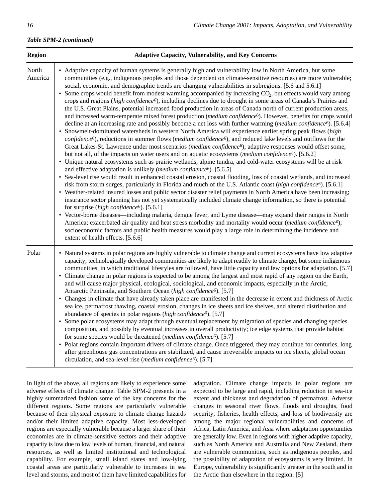# *Table SPM-2 (continued)*

| <b>Region</b>    | <b>Adaptive Capacity, Vulnerability, and Key Concerns</b>                                                                                                                                                                                                                                                                                                                                                                                                                                                                                                                                                                                                                                                                                                                                                                                                                                                                                                                                                                                                                                                                                                                                                                                                                                                                                                                                                                                                                                                                                                                                                                                                                                                                                                                                                                                                                                                                                                                                                                                                                                                                                                                                                                                                                                                                                                                                                                                                                                                                                                                                                                                              |
|------------------|--------------------------------------------------------------------------------------------------------------------------------------------------------------------------------------------------------------------------------------------------------------------------------------------------------------------------------------------------------------------------------------------------------------------------------------------------------------------------------------------------------------------------------------------------------------------------------------------------------------------------------------------------------------------------------------------------------------------------------------------------------------------------------------------------------------------------------------------------------------------------------------------------------------------------------------------------------------------------------------------------------------------------------------------------------------------------------------------------------------------------------------------------------------------------------------------------------------------------------------------------------------------------------------------------------------------------------------------------------------------------------------------------------------------------------------------------------------------------------------------------------------------------------------------------------------------------------------------------------------------------------------------------------------------------------------------------------------------------------------------------------------------------------------------------------------------------------------------------------------------------------------------------------------------------------------------------------------------------------------------------------------------------------------------------------------------------------------------------------------------------------------------------------------------------------------------------------------------------------------------------------------------------------------------------------------------------------------------------------------------------------------------------------------------------------------------------------------------------------------------------------------------------------------------------------------------------------------------------------------------------------------------------------|
| North<br>America | • Adaptive capacity of human systems is generally high and vulnerability low in North America, but some<br>communities (e.g., indigenous peoples and those dependent on climate-sensitive resources) are more vulnerable;<br>social, economic, and demographic trends are changing vulnerabilities in subregions. [5.6 and 5.6.1]<br>• Some crops would benefit from modest warming accompanied by increasing CO <sub>2</sub> , but effects would vary among<br>crops and regions (high confidence <sup>6</sup> ), including declines due to drought in some areas of Canada's Prairies and<br>the U.S. Great Plains, potential increased food production in areas of Canada north of current production areas,<br>and increased warm-temperate mixed forest production (medium confidence <sup>6</sup> ). However, benefits for crops would<br>decline at an increasing rate and possibly become a net loss with further warming (medium confidence <sup>6</sup> ). [5.6.4]<br>Snowmelt-dominated watersheds in western North America will experience earlier spring peak flows (high<br>confidence <sup>6</sup> ), reductions in summer flows ( <i>medium confidence</i> <sup>6</sup> ), and reduced lake levels and outflows for the<br>Great Lakes-St. Lawrence under most scenarios (medium confidence <sup>6</sup> ); adaptive responses would offset some,<br>but not all, of the impacts on water users and on aquatic ecosystems ( <i>medium confidence</i> <sup>6</sup> ). [5.6.2]<br>• Unique natural ecosystems such as prairie wetlands, alpine tundra, and cold-water ecosystems will be at risk<br>and effective adaptation is unlikely (medium confidence <sup>6</sup> ). [5.6.5]<br>• Sea-level rise would result in enhanced coastal erosion, coastal flooding, loss of coastal wetlands, and increased<br>risk from storm surges, particularly in Florida and much of the U.S. Atlantic coast (high confidence <sup>6</sup> ). [5.6.1]<br>• Weather-related insured losses and public sector disaster relief payments in North America have been increasing;<br>insurance sector planning has not yet systematically included climate change information, so there is potential<br>for surprise (high confidence <sup>6</sup> ). [5.6.1]<br>• Vector-borne diseases—including malaria, dengue fever, and Lyme disease—may expand their ranges in North<br>America; exacerbated air quality and heat stress morbidity and mortality would occur (medium confidence <sup>6</sup> );<br>socioeconomic factors and public health measures would play a large role in determining the incidence and<br>extent of health effects. [5.6.6] |
| Polar            | • Natural systems in polar regions are highly vulnerable to climate change and current ecosystems have low adaptive<br>capacity; technologically developed communities are likely to adapt readily to climate change, but some indigenous<br>communities, in which traditional lifestyles are followed, have little capacity and few options for adaptation. [5.7]<br>• Climate change in polar regions is expected to be among the largest and most rapid of any region on the Earth,<br>and will cause major physical, ecological, sociological, and economic impacts, especially in the Arctic,<br>Antarctic Peninsula, and Southern Ocean (high confidence <sup>6</sup> ). [5.7]<br>• Changes in climate that have already taken place are manifested in the decrease in extent and thickness of Arctic<br>sea ice, permafrost thawing, coastal erosion, changes in ice sheets and ice shelves, and altered distribution and<br>abundance of species in polar regions (high confidence <sup>6</sup> ). [5.7]<br>• Some polar ecosystems may adapt through eventual replacement by migration of species and changing species<br>composition, and possibly by eventual increases in overall productivity; ice edge systems that provide habitat<br>for some species would be threatened (medium confidence <sup>6</sup> ). [5.7]<br>• Polar regions contain important drivers of climate change. Once triggered, they may continue for centuries, long<br>after greenhouse gas concentrations are stabilized, and cause irreversible impacts on ice sheets, global ocean<br>circulation, and sea-level rise (medium confidence <sup>6</sup> ). [5.7]                                                                                                                                                                                                                                                                                                                                                                                                                                                                                                                                                                                                                                                                                                                                                                                                                                                                                                                                                                                                 |

In light of the above, all regions are likely to experience some adverse effects of climate change. Table SPM-2 presents in a highly summarized fashion some of the key concerns for the different regions. Some regions are particularly vulnerable because of their physical exposure to climate change hazards and/or their limited adaptive capacity. Most less-developed regions are especially vulnerable because a larger share of their economies are in climate-sensitive sectors and their adaptive capacity is low due to low levels of human, financial, and natural resources, as well as limited institutional and technological capability. For example, small island states and low-lying coastal areas are particularly vulnerable to increases in sea level and storms, and most of them have limited capabilities for adaptation. Climate change impacts in polar regions are expected to be large and rapid, including reduction in sea-ice extent and thickness and degradation of permafrost. Adverse changes in seasonal river flows, floods and droughts, food security, fisheries, health effects, and loss of biodiversity are among the major regional vulnerabilities and concerns of Africa, Latin America, and Asia where adaptation opportunities are generally low. Even in regions with higher adaptive capacity, such as North America and Australia and New Zealand, there are vulnerable communities, such as indigenous peoples, and the possibility of adaptation of ecosystems is very limited. In Europe, vulnerability is significantly greater in the south and in the Arctic than elsewhere in the region. [5]